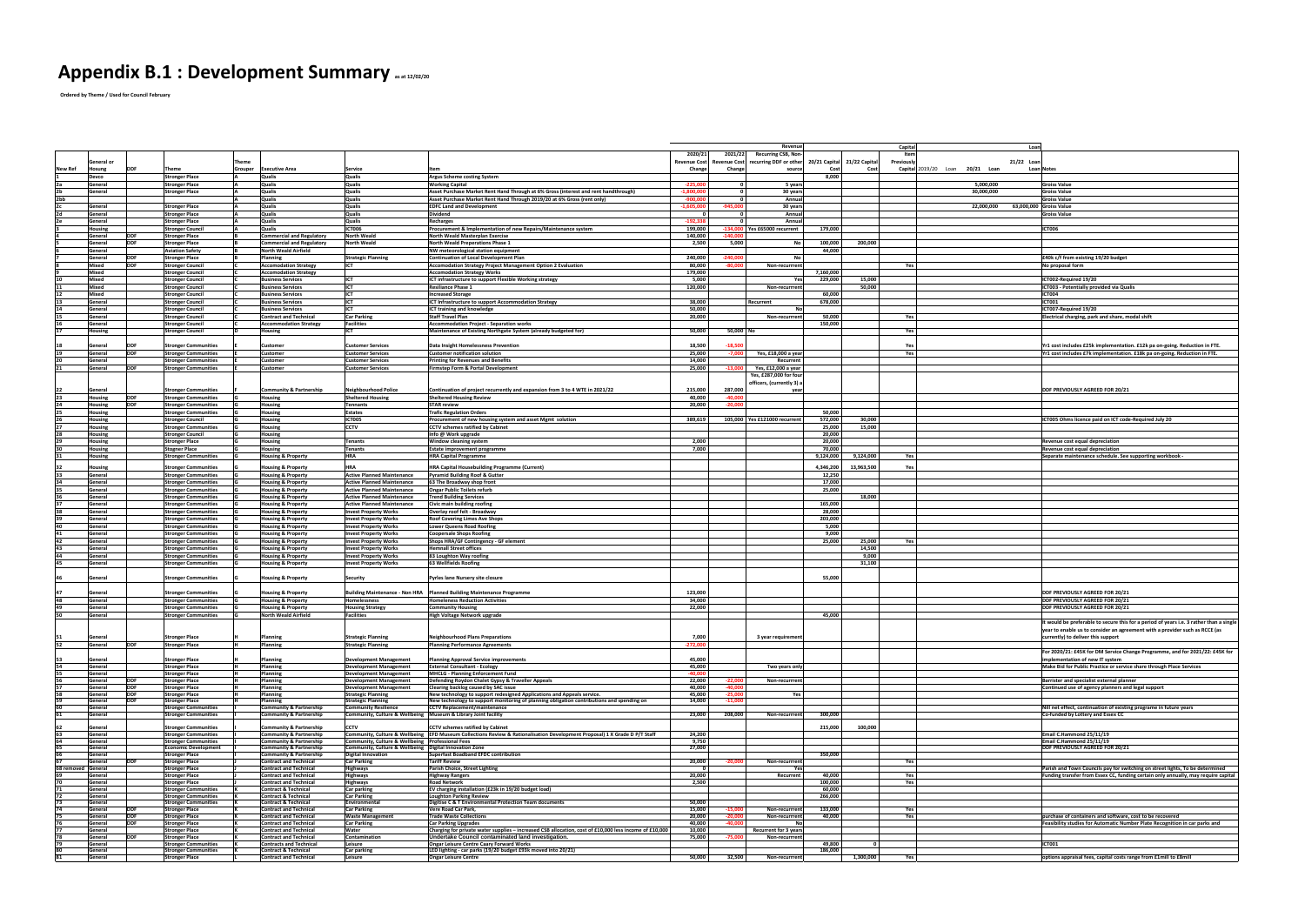## **Appendix B.1 : Development Summary as at 12/02/20**

 **Ordered by Theme / Used for Council February**

|                                        |                     |                                                            |                                                                          |                                                                          |                                                                                                                                                                         |                            | <b>Revenue</b>                                                                                  |                             | Capital           | Loar                                             |                                                                                                                                                 |
|----------------------------------------|---------------------|------------------------------------------------------------|--------------------------------------------------------------------------|--------------------------------------------------------------------------|-------------------------------------------------------------------------------------------------------------------------------------------------------------------------|----------------------------|-------------------------------------------------------------------------------------------------|-----------------------------|-------------------|--------------------------------------------------|-------------------------------------------------------------------------------------------------------------------------------------------------|
|                                        |                     |                                                            |                                                                          |                                                                          |                                                                                                                                                                         | 2020/21                    | <b>Recurring CSB, Non-</b><br>2021/22                                                           |                             |                   |                                                  |                                                                                                                                                 |
| General or<br><b>New Ref</b><br>losung | <b>IDDF</b>         | Theme                                                      | `heme<br>Grouper<br><b>Executive Area</b>                                | <b>Service</b>                                                           |                                                                                                                                                                         | Change                     | Revenue Cost Revenue Cost recurring DDF or other 20/21 Capital 21/22 Capita<br>Change<br>source |                             | <b>Previously</b> | 21/22 Loan<br>Capital 2019/20 Loan<br>20/21 Loan | Loan Notes                                                                                                                                      |
| <b>Devco</b>                           |                     | <b>Stronger Place</b>                                      | <b>Qualis</b>                                                            | <b>Qualis</b>                                                            | <b>Argus Scheme costing System</b>                                                                                                                                      |                            |                                                                                                 | 8,000                       |                   |                                                  |                                                                                                                                                 |
| General                                |                     | <b>Stronger Place</b>                                      | <b>Qualis</b>                                                            | <b>Qualis</b>                                                            | <b>Working Capital</b>                                                                                                                                                  | $-225,000$                 | 5 years                                                                                         |                             |                   | 5,000,000                                        | <b>Groiss Value</b>                                                                                                                             |
| Genera                                 |                     | <b>Stronger Place</b>                                      | <b>Qualis</b>                                                            | Qualis                                                                   | Asset Purchase Market Rent Hand Through at 6% Gross (interest and rent handthrough)                                                                                     | $-1,800,000$               | 30 years                                                                                        |                             |                   | 30,000,000                                       | <b>Groiss Value</b>                                                                                                                             |
| ≀bb∶<br><b>Genera</b>                  |                     | <b>Stronger Place</b>                                      | <b>Qualis</b><br>Qualis                                                  | <b>Qualis</b><br><b>Qualis</b>                                           | Asset Purchase Market Rent Hand Through 2019/20 at 6% Gross (rent only)<br><b>EDFC Land and Development</b>                                                             | $-900,000$<br>$-1,605,000$ | Annua<br>$-945,000$<br>30 years                                                                 |                             |                   | 63,000,000 Groiss Value<br>22,000,000            | <b>Groiss Value</b>                                                                                                                             |
| Genera                                 |                     | <b>Stronger Place</b>                                      | <b>Qualis</b>                                                            | <b>Qualis</b>                                                            | <b>Dividend</b>                                                                                                                                                         |                            | Annua                                                                                           |                             |                   |                                                  | <b>Groiss Value</b>                                                                                                                             |
| <b>General</b>                         |                     | <b>Stronger Place</b>                                      | <b>Qualis</b>                                                            | <b>Qualis</b>                                                            | <b>Recharges</b>                                                                                                                                                        | $-192,338$                 | Annua                                                                                           |                             |                   |                                                  |                                                                                                                                                 |
| <b>Housing</b>                         | <b>IDDF</b>         | <b>Stronger Council</b>                                    | Qualis                                                                   | <b>ICT006</b>                                                            | Procurement & Implementation of new Repairs/Maintenance system                                                                                                          | 199,000                    | -134,000   Yes £65000 recurrent                                                                 | 179,000                     |                   |                                                  | <b>ICT006</b>                                                                                                                                   |
| Genera<br><b>Genera</b>                | Inne                | <b>Stronger Place</b><br><b>Stronger Place</b>             | Commercial and Regulatory<br>Commercial and Regulatory                   | <b>North Weald</b><br><b>North Weald</b>                                 | North Weald Masterplan Exercise<br>North Weald Preperations Phase 1                                                                                                     | 140,000<br>2,500           | $-140,000$<br>5,000                                                                             | 200,000<br>100,000          |                   |                                                  |                                                                                                                                                 |
| lGenera                                |                     | <b>Aviation Safety</b>                                     | North Weald Airfield                                                     |                                                                          | <b>NW</b> meteorological station equipment                                                                                                                              |                            |                                                                                                 | 44,000                      |                   |                                                  |                                                                                                                                                 |
| <b>Genera</b>                          | IDDE                | <b>Stronger Place</b>                                      | Planning                                                                 | <b>Strategic Planning</b>                                                | <b>Continuation of Local Development Plan</b>                                                                                                                           | 240,000                    | $-240.000$                                                                                      |                             |                   |                                                  | <b>£40k c/f from existing 19/20 budget</b>                                                                                                      |
| Mixed<br><b>Mixed</b>                  | <b>IDDF</b>         | <b>Stronger Council</b><br><b>Stronger Council</b>         | <b>Accomodation Strategy</b><br><b>Accomodation Strategy</b>             | <b>ICT</b>                                                               | Accomodation Strategy Project Management Option 2 Evaluation                                                                                                            | 80,000<br>179,000          | $-80,000$<br>Non-recurrren                                                                      | 7,160,000                   | Yes               |                                                  | No proposal form                                                                                                                                |
| Mixed                                  |                     | <b>Stronger Council</b>                                    | <b>Business Services</b>                                                 | ICT                                                                      | <b>Accomodation Strategy Works</b><br>ICT infrastructure to support Flexible Working strategy                                                                           | 5,000                      |                                                                                                 | 15,000<br>229,000           |                   |                                                  | ICT002-Required 19/20                                                                                                                           |
| Mixed                                  |                     | <b>Stronger Council</b>                                    | <b>Business Services</b>                                                 | <b>IICT</b>                                                              | <b>Resiliance Phase 1</b>                                                                                                                                               | 120,000                    | <b>Non-recurrrer</b>                                                                            | 50,000                      |                   |                                                  | ICT003 - Potentially provided via Qualis                                                                                                        |
| <b>Mixed</b>                           |                     | <b>Stronger Council</b>                                    | <b>Business Services</b>                                                 | <b>LICT</b>                                                              | <b>Increased Storage</b>                                                                                                                                                |                            |                                                                                                 | 60,000                      |                   |                                                  | <b>ICT004</b>                                                                                                                                   |
| General<br><b>General</b>              |                     | <b>Stronger Council</b><br><b>Stronger Council</b>         | <b>Business Services</b><br><b>Business Services</b>                     | <b>ICT</b><br>CT                                                         | ICT Infrastructure to support Accommodation Strategy<br><b>ICT training and knowledge</b>                                                                               | 38,000<br>50,000           | Recurrent                                                                                       | 678,000                     |                   |                                                  | <b>ICT001</b><br>ICT007-Required 19/20                                                                                                          |
| General                                |                     | <b>Stronger Council</b>                                    | <b>Contract and Technical</b>                                            | <b>Car Parking</b>                                                       | <b>Staff Travel Plan</b>                                                                                                                                                | 20,000                     | Non-recurrren                                                                                   | 50,000                      |                   |                                                  | Electrical charging, park and share, modal shift                                                                                                |
| <b>Genera</b>                          |                     | <b>Stronger Council</b>                                    | <b>Accommodation Strategy</b>                                            | <b>Facilities</b>                                                        | <b>Accommodation Project - Separation works</b>                                                                                                                         |                            |                                                                                                 | 150,000                     |                   |                                                  |                                                                                                                                                 |
| lousing                                |                     | <b>Stronger Council</b>                                    | Housing                                                                  |                                                                          | Maintenance of Existing Northgate System (already budgeted for)                                                                                                         | 50,000                     | 50,000 No                                                                                       |                             |                   |                                                  |                                                                                                                                                 |
| lGenera                                | <b>IDDF</b>         | <b>Stronger Communities</b>                                | <b>Customer</b>                                                          | <b>Customer Services</b>                                                 | Data Insight Homelessness Prevention                                                                                                                                    | 18,500                     | $-18.500$                                                                                       |                             |                   |                                                  | Yr1 cost includes £25k implementation. £12k pa on-going. Reduction in FTE.                                                                      |
| Genera                                 | <b>IDDF</b>         | <b>Stronger Communities</b>                                | <b>Customer</b>                                                          | <b>Customer Services</b>                                                 | <b>Customer notification solution</b>                                                                                                                                   | 25,000                     | Yes, £18,000 a yea<br>7.000                                                                     |                             | Yes               |                                                  | Yr1 cost includes £7k implementation. £18k pa on-going. Reduction in FTE.                                                                       |
| General                                |                     | <b>Stronger Communities</b>                                | <b>Customer</b>                                                          | <b>Customer Services</b>                                                 | <b>Printing for Revenues and Benefits</b>                                                                                                                               | 14,000                     | Recurren                                                                                        |                             |                   |                                                  |                                                                                                                                                 |
| lGenera                                | <b>IDDF</b>         | <b>Stronger Communities</b>                                | <b>Customer</b>                                                          | <b>Customer Services</b>                                                 | <b>Firmstep Form &amp; Portal Development</b>                                                                                                                           | 25,000                     | Yes, £12,000 a year<br>-13.000                                                                  |                             |                   |                                                  |                                                                                                                                                 |
|                                        |                     |                                                            |                                                                          |                                                                          |                                                                                                                                                                         |                            | Yes, £287,000 for four<br>officers, (currently 3) a                                             |                             |                   |                                                  |                                                                                                                                                 |
| General                                |                     | <b>Stronger Communities</b>                                | Community & Partnership                                                  | <b>Neighbourhood Police</b>                                              | Continuation of project recurrently and expansion from 3 to 4 WTE in 2021/22                                                                                            | 215,000                    | 287,000                                                                                         |                             |                   |                                                  | <b>DDF PREVIOUSLY AGREED FOR 20/21</b>                                                                                                          |
| <b>Housing</b>                         | <b>DDF</b>          | <b>Stronger Communities</b>                                | Housing                                                                  | <b>Sheltered Housing</b>                                                 | <b>Sheltered Housing Review</b>                                                                                                                                         | 40,000                     | 40.000                                                                                          |                             |                   |                                                  |                                                                                                                                                 |
| lousing                                | <b>IDDF</b>         | <b>Stronger Communities</b>                                | <b>Housing</b>                                                           | <b>Tennants</b>                                                          | <b>STAR</b> review                                                                                                                                                      | 20,000                     | $-20,000$                                                                                       |                             |                   |                                                  |                                                                                                                                                 |
| <b>Housing</b>                         |                     | <b>Stronger Communities</b><br><b>Stronger Council</b>     | <b>Housing</b><br>Housing                                                | Estates<br>ICT005                                                        | <b>Trafic Regulation Orders</b><br>Procurement of new housing system and asset Mgmt solution                                                                            | 389,619                    | 105,000   Yes £121000 recurrer                                                                  | 50,000<br>30,000<br>572,000 |                   |                                                  | ICT005 Ohms licence paid on ICT code-Required July 20                                                                                           |
| <b>Housing</b><br>lousing              |                     | <b>Stronger Communities</b>                                | <b>Housing</b>                                                           | <b>CCTV</b>                                                              | <b>CCTV</b> schemes ratified by Cabinet                                                                                                                                 |                            |                                                                                                 | 15,000<br>25,000            |                   |                                                  |                                                                                                                                                 |
| <b>Housing</b>                         |                     | <b>Stronger Council</b>                                    | <b>Housing</b>                                                           |                                                                          | Info @ Work upgrade                                                                                                                                                     |                            |                                                                                                 | 20,000                      |                   |                                                  |                                                                                                                                                 |
| lousing                                |                     | <b>Stronger Place</b>                                      | Housing                                                                  | Tenant:                                                                  | <b>Window cleaning system</b>                                                                                                                                           | 2,000                      |                                                                                                 | 20,000                      |                   |                                                  | <b>Revenue cost equal depreciation</b>                                                                                                          |
| lousing                                |                     | <b>Stogner Place</b>                                       | <b>Housing</b>                                                           | <b>Tenants</b>                                                           | <b>Estate improvement programme</b>                                                                                                                                     | 7,000                      |                                                                                                 | 70,000                      |                   |                                                  | <b>Revenue cost equal depreciation</b>                                                                                                          |
| <b>Housing</b>                         |                     | <b>Stronger Communities</b>                                | <b>Housing &amp; Property</b>                                            | <b>HRA</b>                                                               | <b>HRA Capital Programme</b>                                                                                                                                            |                            |                                                                                                 | 9,124,000<br>9,124,000      | Yes               |                                                  | Separate maintenance schedule. See supporting workbook -                                                                                        |
| Housing                                |                     | <b>Stronger Communities</b>                                | <b>Housing &amp; Property</b>                                            |                                                                          | HRA Capital Housebuilding Programme (Current)                                                                                                                           |                            |                                                                                                 | 4,346,200<br>13,963,500     |                   |                                                  |                                                                                                                                                 |
| <b>General</b>                         |                     | <b>Stronger Communities</b>                                | <b>Housing &amp; Property</b>                                            | <b>Active Planned Maintenance</b>                                        | <b>Pyramid Building Roof &amp; Gutter</b>                                                                                                                               |                            |                                                                                                 | 12,250                      |                   |                                                  |                                                                                                                                                 |
| Genera<br>General                      |                     | <b>Stronger Communities</b><br><b>Stronger Communities</b> | <b>Housing &amp; Property</b><br><b>Housing &amp; Property</b>           | <b>Active Planned Maintenance</b><br><b>Active Planned Maintenance</b>   | 63 The Broadway shop front<br><b>Ongar Public Toilets refurb</b>                                                                                                        |                            |                                                                                                 | 17,000<br>25,000            |                   |                                                  |                                                                                                                                                 |
| General                                |                     | <b>Stronger Communities</b>                                | <b>Housing &amp; Property</b>                                            | <b>Active Planned Maintenance</b>                                        | <b>Trend Building Services</b>                                                                                                                                          |                            |                                                                                                 | 18,000                      |                   |                                                  |                                                                                                                                                 |
| General                                |                     | <b>Stronger Communities</b>                                | <b>Housing &amp; Property</b>                                            | <b>Active Planned Maintenance</b>                                        | Civic main building roofing                                                                                                                                             |                            |                                                                                                 | 165,000                     |                   |                                                  |                                                                                                                                                 |
| General                                |                     | <b>Stronger Communities</b>                                | <b>Housing &amp; Property</b>                                            | <b>Invest Property Works</b>                                             | Overlay roof felt - Broadway                                                                                                                                            |                            |                                                                                                 | 28,000                      |                   |                                                  |                                                                                                                                                 |
| General                                |                     | <b>Stronger Communities</b>                                | Housing & Property                                                       | <b>Invest Property Works</b>                                             | <b>Roof Covering Limes Ave Shops</b>                                                                                                                                    |                            |                                                                                                 | 203,000                     |                   |                                                  |                                                                                                                                                 |
| lGenera<br>General                     |                     | <b>Stronger Communities</b><br><b>Stronger Communities</b> | <b>Housing &amp; Property</b><br><b>Housing &amp; Property</b>           | <b>Invest Property Works</b><br><b>Invest Property Works</b>             | <b>Lower Queens Road Roofing</b><br><b>Coopersale Shops Roofing</b>                                                                                                     |                            |                                                                                                 | 5,000<br>9,000              |                   |                                                  |                                                                                                                                                 |
| <b>General</b>                         |                     | <b>Stronger Communities</b>                                | <b>Housing &amp; Property</b>                                            | <b>Invest Property Works</b>                                             | Shops HRA/GF Contingency - GF element                                                                                                                                   |                            |                                                                                                 | 25,000<br>25,000            |                   |                                                  |                                                                                                                                                 |
| General                                |                     | <b>Stronger Communities</b>                                | <b>Housing &amp; Property</b>                                            | <b>Invest Property Works</b>                                             | <b>Hemnall Street offices</b>                                                                                                                                           |                            |                                                                                                 | 14,500                      |                   |                                                  |                                                                                                                                                 |
| <b>General</b>                         |                     | <b>Stronger Communities</b>                                | <b>Housing &amp; Property</b>                                            | <b>Invest Property Works</b>                                             | 83 Loughton Way roofing                                                                                                                                                 |                            |                                                                                                 | 9,000                       |                   |                                                  |                                                                                                                                                 |
| General                                |                     | <b>Stronger Communities</b>                                | <b>Housing &amp; Property</b>                                            | <b>Invest Property Works</b>                                             | 63 Wellfields Roofing                                                                                                                                                   |                            |                                                                                                 | 31,100                      |                   |                                                  |                                                                                                                                                 |
| <b>IGenera</b>                         |                     | <b>Stronger Communities</b>                                | <b>Housing &amp; Property</b>                                            | Security                                                                 | <b>Pyrles lane Nursery site closure</b>                                                                                                                                 |                            |                                                                                                 | 55,000                      |                   |                                                  |                                                                                                                                                 |
|                                        |                     |                                                            |                                                                          |                                                                          |                                                                                                                                                                         |                            |                                                                                                 |                             |                   |                                                  |                                                                                                                                                 |
| <b>Seneral</b>                         |                     | <b>Stronger Communities</b>                                | <b>Housing &amp; Property</b>                                            |                                                                          | Building Maintenance - Non HRA   Planned Building Maintenance Programme                                                                                                 | 123,000                    |                                                                                                 |                             |                   |                                                  | <b>DDF PREVIOUSLY AGREED FOR 20/21</b>                                                                                                          |
| <b>General</b>                         |                     | <b>Stronger Communities</b>                                | Housing & Property                                                       | <b>Homelessness</b>                                                      | <b>Homeleness Reduction Activities</b>                                                                                                                                  | 34,000                     |                                                                                                 |                             |                   |                                                  | <b>DDF PREVIOUSLY AGREED FOR 20/21</b>                                                                                                          |
| Genera<br>General                      |                     | <b>Stronger Communities</b><br><b>Stronger Communities</b> | <b>Housing &amp; Property</b><br>North Weald Airfield                    | <b>Housing Strategy</b><br><b>Facilities</b>                             | <b>Community Housing</b><br>High Voltage Network upgrade                                                                                                                | 22,000                     |                                                                                                 | 45,000                      |                   |                                                  | <b>DDF PREVIOUSLY AGREED FOR 20/21</b>                                                                                                          |
|                                        |                     |                                                            |                                                                          |                                                                          |                                                                                                                                                                         |                            |                                                                                                 |                             |                   |                                                  | It would be preferable to secure this for a period of years i.e. 3 rather than a single                                                         |
|                                        |                     |                                                            |                                                                          |                                                                          |                                                                                                                                                                         |                            |                                                                                                 |                             |                   |                                                  | year to enable us to consider an agreement with a provider such as RCCE (as                                                                     |
| <b>SGenera</b>                         |                     | <b>Stronger Place</b>                                      | Planning                                                                 | <b>Strategic Planning</b>                                                | Neighbourhood Plans Preparations                                                                                                                                        | 7,000                      | 3 year requirement                                                                              |                             |                   |                                                  | currently) to deliver this support                                                                                                              |
| General                                | <b>IDDF</b>         | <b>Stronger Place</b>                                      | <b>Planning</b>                                                          | <b>Strategic Planning</b>                                                | <b>Planning Performance Agreements</b>                                                                                                                                  | $-272,000$                 |                                                                                                 |                             |                   |                                                  | For 2020/21: £45K for DM Service Change Programme, and for 2021/22: £45K for                                                                    |
| Genera                                 |                     | <b>Stronger Place</b>                                      | <b>Planning</b>                                                          | <b>Development Management</b>                                            | <b>Planning Approval Service improvements</b>                                                                                                                           | 45,000                     |                                                                                                 |                             |                   |                                                  | implementation of new IT system                                                                                                                 |
| General                                |                     | <b>Stronger Place</b>                                      | Planning                                                                 | <b>Development Managemen</b>                                             | <b>External Consultant - Ecology</b>                                                                                                                                    | 45,000                     | Two years only                                                                                  |                             |                   |                                                  | Make Bid for Public Practice or service share through Place Services                                                                            |
| Genera                                 |                     | <b>Stronger Place</b>                                      | Planning                                                                 | <b>Development Management</b>                                            | MHCLG - Planning Enforcement Fund                                                                                                                                       | $-40,000$                  |                                                                                                 |                             |                   |                                                  |                                                                                                                                                 |
| Genera<br>Genera                       |                     | <b>Stronger Place</b><br><b>Stronger Place</b>             | Planning<br>Planning                                                     | <b>Development Management</b><br>Development Management                  | Defending Roydon Chalet Gypsy & Traveller Appeals<br>Clearing backlog caused by SAC issue                                                                               | 22,000<br>40,000           | $-22,000$<br>Non-recurrrer<br>$-40,000$                                                         |                             |                   |                                                  | <b>Barrister and specialist external planner</b><br>Continued use of agency planners and legal support                                          |
| Genera                                 |                     | <b>Stronger Place</b>                                      | Planning                                                                 | <b>Strategic Planning</b>                                                | New technology to support redesigned Applications and Appeals service.                                                                                                  | 45,000                     | $-25.000$<br>. Ye                                                                               |                             |                   |                                                  |                                                                                                                                                 |
| Genera                                 |                     | <b>Stronger Place</b>                                      | <b>Planning</b>                                                          | <b>Strategic Planning</b>                                                | New technology to support monitoring of planning obligation contributions and spending on                                                                               | 14,000                     | $-11,000$                                                                                       |                             |                   |                                                  |                                                                                                                                                 |
| Genera<br><b>SGenera</b>               |                     | <b>Stronger Communities</b><br><b>Stronger Communities</b> | <b>Community &amp; Partnership</b><br><b>Community &amp; Partnership</b> | <b>Community Resilience</b><br><b>Community, Culture &amp; Wellbeing</b> | <b>CCTV Replacement/maintenance</b><br>Museum & Library Joint facility                                                                                                  | 23,000                     | 208,000<br>Non-recurrren                                                                        | 300,000                     |                   |                                                  | Nill net effect, continuation of existing programe in future years<br>Co-funded by Lottery and Essex CC                                         |
|                                        |                     |                                                            |                                                                          |                                                                          |                                                                                                                                                                         |                            |                                                                                                 |                             |                   |                                                  |                                                                                                                                                 |
| Genera<br>Genera                       |                     | <b>Stronger Communities</b>                                | <b>Community &amp; Partnership</b><br><b>Community &amp; Partnership</b> | <b>CCTV</b>                                                              | <b>CCTV</b> schemes ratified by Cabinet<br>Community, Culture & Wellbeing   EFD Museum Collections Review & Rationalisation Development Proposal) 1 X Grade D P/T Staff | 24,200                     |                                                                                                 | 100,000<br>215,000          |                   |                                                  | Email C.Hammond 25/11/19                                                                                                                        |
| Genera                                 |                     | <b>Stronger Communities</b><br><b>Stronger Communities</b> | <b>Community &amp; Partnership</b>                                       | Community, Culture & Wellbeing   Professional Fees                       |                                                                                                                                                                         | 9,750                      |                                                                                                 |                             |                   |                                                  | Email C.Hammond 25/11/19                                                                                                                        |
| Genera                                 |                     | <b>Economic Development</b>                                | <b>Community &amp; Partnership</b>                                       | Community, Culture & Wellbeing   Digital Innovation Zone                 |                                                                                                                                                                         | 27,000                     |                                                                                                 |                             |                   |                                                  | <b>DDF PREVIOUSLY AGREED FOR 20/21</b>                                                                                                          |
| Genera                                 |                     | <b>Stronger Place</b>                                      | <b>Community &amp; Partnership</b>                                       | Digital Innovation<br><b>Car Parking</b>                                 | Superfast Boadband EFDC contribution<br><b>Tariff Review</b>                                                                                                            | 20,000                     | $-20,000$                                                                                       | 350,000                     |                   |                                                  |                                                                                                                                                 |
| Genera<br>8 removed Genera             |                     | <b>Stronger Place</b><br><b>Stronger Place</b>             | <b>Contract and Technical</b><br><b>Contract and Technical</b>           | <b>Highways</b>                                                          | <b>Parish Choice, Street Lighting</b>                                                                                                                                   |                            | Non-recurrren                                                                                   |                             | Yes               |                                                  | Parish and Town Councils pay for switching on street lights, To be determined                                                                   |
| Genera                                 |                     | <b>Stronger Place</b>                                      | <b>Contract and Technical</b>                                            | Highways                                                                 | <b>Highway Rangers</b>                                                                                                                                                  | 20,000                     | Recurren                                                                                        | 40,000                      | Yes               |                                                  | <b>Funding transfer from Essex CC, funding certain only annually, may require capital</b>                                                       |
| Genera                                 |                     | <b>Stronger Place</b>                                      | <b>Contract and Technical</b>                                            | <b>Highways</b>                                                          | <b>Road Network</b>                                                                                                                                                     | 2,500                      |                                                                                                 | 100,000                     | Yes               |                                                  |                                                                                                                                                 |
| Genera<br>General                      |                     | <b>Stronger Communities</b><br><b>Stronger Communities</b> | <b>Contract &amp; Technical</b><br><b>Contract &amp; Technical</b>       | <b>Car parking</b><br><b>Car Parking</b>                                 | <b>EV charging installation (£23k in 19/20 budget load)</b><br><b>Loughton Parking Review</b>                                                                           |                            |                                                                                                 | 60,000<br>266,000           |                   |                                                  |                                                                                                                                                 |
| General                                |                     | <b>Stronger Communities</b>                                | <b>Contract &amp; Technical</b>                                          | Environmenta                                                             | Digitise C & T Environmental Protection Team documents                                                                                                                  | 50,000                     |                                                                                                 |                             |                   |                                                  |                                                                                                                                                 |
| Genera                                 | <b>IDDF</b>         | <b>Stronger Place</b>                                      | <b>Contract and Technical</b>                                            | <b>Car Parking</b>                                                       | <b>Vere Road Car Park</b>                                                                                                                                               | 15,000                     | $-15,000$<br>Non-recurrren                                                                      | 133,000                     | Yes               |                                                  |                                                                                                                                                 |
| Genera<br>Genera                       | <b>IDDF</b><br>IDDE | <b>Stronger Place</b><br><b>Stronger Place</b>             | <b>Contract and Technical</b><br><b>Contract and Technical</b>           | <b>Waste Management</b><br><b>Car Parking</b>                            | <b>Trade Waste Collections</b><br><b>Car Parking Upgrades</b>                                                                                                           | 20,000<br>40,000           | $-20,000$<br>Non-recurrren<br>$-40.000$                                                         | 40,000                      |                   |                                                  | purchase of containers and software, cost to be recovered<br><b>Feasibility studies for Automatic Number Plate Recognition in car parks and</b> |
| Genera                                 |                     | <b>Stronger Place</b>                                      | <b>Contract and Technical</b>                                            | Water                                                                    | Charging for private water supplies - increased CSB allocation, cost of £10,000 less income of £10,000                                                                  | 10,000                     | <b>Recurrent for 3 years</b>                                                                    |                             |                   |                                                  |                                                                                                                                                 |
| General                                | <b>DDF</b>          | <b>Stronger Place</b>                                      | <b>Contract and Technical</b>                                            | Contamination                                                            | Undertake Council contaminated land investigation.                                                                                                                      | 75,000                     | Non-recurrrent                                                                                  |                             |                   |                                                  |                                                                                                                                                 |
| General<br>General                     |                     | <b>Stronger Communities</b><br><b>Stronger Communities</b> | <b>Contracts and Technical</b><br><b>Contract &amp; Technical</b>        | Leisure<br>Car parking                                                   | <b>Ongar Leisure Centre Caary Forward Works</b><br>LED lighting - car parks (19/20 budget £93k moved into 20/21)                                                        |                            |                                                                                                 | 49,800<br>186,000           |                   |                                                  | <b>ICT001</b>                                                                                                                                   |
| General                                |                     | <b>Stronger Place</b>                                      | <b>Contract and Technical</b>                                            | <b>Leisure</b>                                                           | <b>Ongar Leisure Centre</b>                                                                                                                                             | 50,000                     | 32,500<br>Non-recurrrent                                                                        | 1,300,000                   | Yes               |                                                  | options appraisal fees, capital costs range from £1 mill to £8 mill                                                                             |
|                                        |                     |                                                            |                                                                          |                                                                          |                                                                                                                                                                         |                            |                                                                                                 |                             |                   |                                                  |                                                                                                                                                 |